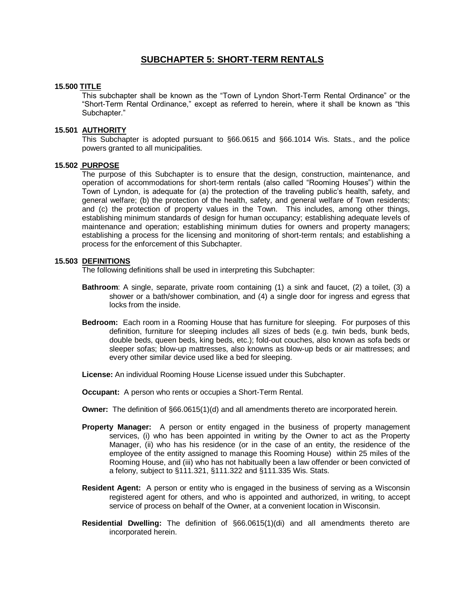# **SUBCHAPTER 5: SHORT-TERM RENTALS**

### **15.500 TITLE**

This subchapter shall be known as the "Town of Lyndon Short-Term Rental Ordinance" or the "Short-Term Rental Ordinance," except as referred to herein, where it shall be known as "this Subchapter."

### **15.501 AUTHORITY**

This Subchapter is adopted pursuant to §66.0615 and §66.1014 Wis. Stats., and the police powers granted to all municipalities.

### **15.502 PURPOSE**

The purpose of this Subchapter is to ensure that the design, construction, maintenance, and operation of accommodations for short-term rentals (also called "Rooming Houses") within the Town of Lyndon, is adequate for (a) the protection of the traveling public's health, safety, and general welfare; (b) the protection of the health, safety, and general welfare of Town residents; and (c) the protection of property values in the Town. This includes, among other things, establishing minimum standards of design for human occupancy; establishing adequate levels of maintenance and operation; establishing minimum duties for owners and property managers; establishing a process for the licensing and monitoring of short-term rentals; and establishing a process for the enforcement of this Subchapter.

#### **15.503 DEFINITIONS**

The following definitions shall be used in interpreting this Subchapter:

- **Bathroom**: A single, separate, private room containing (1) a sink and faucet, (2) a toilet, (3) a shower or a bath/shower combination, and (4) a single door for ingress and egress that locks from the inside.
- **Bedroom:** Each room in a Rooming House that has furniture for sleeping. For purposes of this definition, furniture for sleeping includes all sizes of beds (e.g. twin beds, bunk beds, double beds, queen beds, king beds, etc.); fold-out couches, also known as sofa beds or sleeper sofas; blow-up mattresses, also knowns as blow-up beds or air mattresses; and every other similar device used like a bed for sleeping.

**License:** An individual Rooming House License issued under this Subchapter.

**Occupant:** A person who rents or occupies a Short-Term Rental.

- **Owner:** The definition of §66.0615(1)(d) and all amendments thereto are incorporated herein.
- **Property Manager:** A person or entity engaged in the business of property management services, (i) who has been appointed in writing by the Owner to act as the Property Manager, (ii) who has his residence (or in the case of an entity, the residence of the employee of the entity assigned to manage this Rooming House) within 25 miles of the Rooming House, and (iii) who has not habitually been a law offender or been convicted of a felony, subject to §111.321, §111.322 and §111.335 Wis. Stats.
- **Resident Agent:** A person or entity who is engaged in the business of serving as a Wisconsin registered agent for others, and who is appointed and authorized, in writing, to accept service of process on behalf of the Owner, at a convenient location in Wisconsin.
- **Residential Dwelling:** The definition of §66.0615(1)(di) and all amendments thereto are incorporated herein.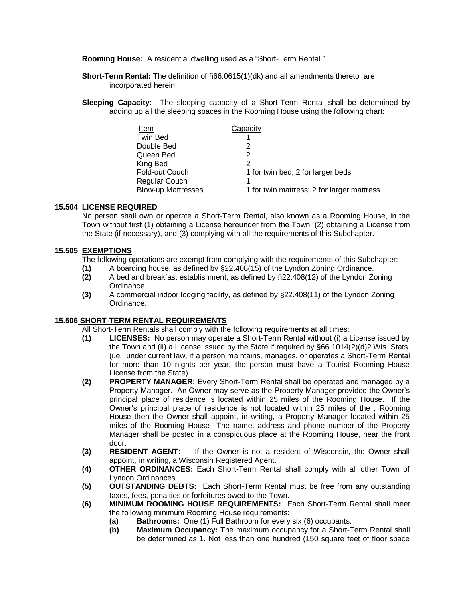**Rooming House:** A residential dwelling used as a "Short-Term Rental."

- **Short-Term Rental:** The definition of §66.0615(1)(dk) and all amendments thereto are incorporated herein.
- **Sleeping Capacity:** The sleeping capacity of a Short-Term Rental shall be determined by adding up all the sleeping spaces in the Rooming House using the following chart:

| Item                      | Capacity                                   |
|---------------------------|--------------------------------------------|
| <b>Twin Bed</b>           |                                            |
| Double Bed                |                                            |
| Queen Bed                 | 2                                          |
| King Bed                  | 2                                          |
| <b>Fold-out Couch</b>     | 1 for twin bed; 2 for larger beds          |
| <b>Regular Couch</b>      |                                            |
| <b>Blow-up Mattresses</b> | 1 for twin mattress; 2 for larger mattress |

## **15.504 LICENSE REQUIRED**

No person shall own or operate a Short-Term Rental, also known as a Rooming House, in the Town without first (1) obtaining a License hereunder from the Town, (2) obtaining a License from the State (if necessary), and (3) complying with all the requirements of this Subchapter.

## **15.505 EXEMPTIONS**

- The following operations are exempt from complying with the requirements of this Subchapter:
- **(1)** A boarding house, as defined by §22.408(15) of the Lyndon Zoning Ordinance.
- **(2)** A bed and breakfast establishment, as defined by §22.408(12) of the Lyndon Zoning Ordinance.
- **(3)** A commercial indoor lodging facility, as defined by §22.408(11) of the Lyndon Zoning Ordinance.

## **15.506 SHORT-TERM RENTAL REQUIREMENTS**

All Short-Term Rentals shall comply with the following requirements at all times:

- **(1) LICENSES:** No person may operate a Short-Term Rental without (i) a License issued by the Town and (ii) a License issued by the State if required by §66.1014(2)(d)2 Wis. Stats. (i.e., under current law, if a person maintains, manages, or operates a Short-Term Rental for more than 10 nights per year, the person must have a Tourist Rooming House License from the State).
- **(2) PROPERTY MANAGER:** Every Short-Term Rental shall be operated and managed by a Property Manager. An Owner may serve as the Property Manager provided the Owner's principal place of residence is located within 25 miles of the Rooming House. If the Owner's principal place of residence is not located within 25 miles of the , Rooming House then the Owner shall appoint, in writing, a Property Manager located within 25 miles of the Rooming House The name, address and phone number of the Property Manager shall be posted in a conspicuous place at the Rooming House, near the front door.
- **(3) RESIDENT AGENT:** If the Owner is not a resident of Wisconsin, the Owner shall appoint, in writing, a Wisconsin Registered Agent.
- **(4) OTHER ORDINANCES:** Each Short-Term Rental shall comply with all other Town of Lyndon Ordinances.
- **(5) OUTSTANDING DEBTS:** Each Short-Term Rental must be free from any outstanding taxes, fees, penalties or forfeitures owed to the Town.
- **(6) MINIMUM ROOMING HOUSE REQUIREMENTS:** Each Short-Term Rental shall meet the following minimum Rooming House requirements:
	- **(a) Bathrooms:** One (1) Full Bathroom for every six (6) occupants.
	- **(b) Maximum Occupancy:** The maximum occupancy for a Short-Term Rental shall be determined as 1. Not less than one hundred (150 square feet of floor space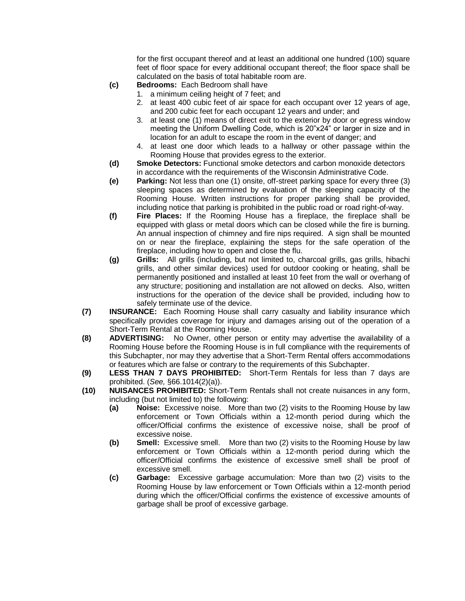for the first occupant thereof and at least an additional one hundred (100) square feet of floor space for every additional occupant thereof; the floor space shall be calculated on the basis of total habitable room are.

- **(c) Bedrooms:** Each Bedroom shall have
	- 1. a minimum ceiling height of 7 feet; and
	- 2. at least 400 cubic feet of air space for each occupant over 12 years of age, and 200 cubic feet for each occupant 12 years and under; and
	- 3. at least one (1) means of direct exit to the exterior by door or egress window meeting the Uniform Dwelling Code, which is 20"x24" or larger in size and in location for an adult to escape the room in the event of danger; and
	- 4. at least one door which leads to a hallway or other passage within the Rooming House that provides egress to the exterior.
- **(d) Smoke Detectors:** Functional smoke detectors and carbon monoxide detectors in accordance with the requirements of the Wisconsin Administrative Code.
- **(e) Parking:** Not less than one (1) onsite, off-street parking space for every three (3) sleeping spaces as determined by evaluation of the sleeping capacity of the Rooming House. Written instructions for proper parking shall be provided, including notice that parking is prohibited in the public road or road right-of-way.
- **(f) Fire Places:** If the Rooming House has a fireplace, the fireplace shall be equipped with glass or metal doors which can be closed while the fire is burning. An annual inspection of chimney and fire nips required. A sign shall be mounted on or near the fireplace, explaining the steps for the safe operation of the fireplace, including how to open and close the flu.
- **(g) Grills:** All grills (including, but not limited to, charcoal grills, gas grills, hibachi grills, and other similar devices) used for outdoor cooking or heating, shall be permanently positioned and installed at least 10 feet from the wall or overhang of any structure; positioning and installation are not allowed on decks. Also, written instructions for the operation of the device shall be provided, including how to safely terminate use of the device.
- **(7) INSURANCE:** Each Rooming House shall carry casualty and liability insurance which specifically provides coverage for injury and damages arising out of the operation of a Short-Term Rental at the Rooming House.
- **(8) ADVERTISING:** No Owner, other person or entity may advertise the availability of a Rooming House before the Rooming House is in full compliance with the requirements of this Subchapter, nor may they advertise that a Short-Term Rental offers accommodations or features which are false or contrary to the requirements of this Subchapter.
- **(9) LESS THAN 7 DAYS PROHIBITED:** Short-Term Rentals for less than 7 days are prohibited. (*See,* §66.1014(2)(a)).
- **(10) NUISANCES PROHIBITED:** Short-Term Rentals shall not create nuisances in any form, including (but not limited to) the following:
	- **(a) Noise:** Excessive noise. More than two (2) visits to the Rooming House by law enforcement or Town Officials within a 12-month period during which the officer/Official confirms the existence of excessive noise, shall be proof of excessive noise.
	- **(b) Smell:** Excessive smell. More than two (2) visits to the Rooming House by law enforcement or Town Officials within a 12-month period during which the officer/Official confirms the existence of excessive smell shall be proof of excessive smell.
	- **(c) Garbage:** Excessive garbage accumulation: More than two (2) visits to the Rooming House by law enforcement or Town Officials within a 12-month period during which the officer/Official confirms the existence of excessive amounts of garbage shall be proof of excessive garbage.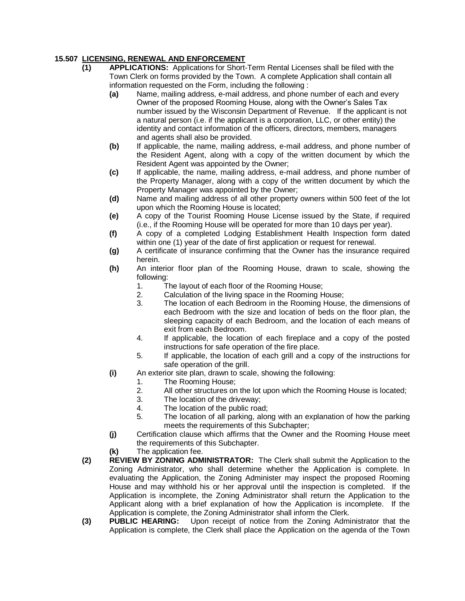# **15.507 LICENSING, RENEWAL AND ENFORCEMENT**

- **(1) APPLICATIONS:** Applications for Short-Term Rental Licenses shall be filed with the Town Clerk on forms provided by the Town. A complete Application shall contain all information requested on the Form, including the following :
	- **(a)** Name, mailing address, e-mail address, and phone number of each and every Owner of the proposed Rooming House, along with the Owner's Sales Tax number issued by the Wisconsin Department of Revenue. If the applicant is not a natural person (i.e. if the applicant is a corporation, LLC, or other entity) the identity and contact information of the officers, directors, members, managers and agents shall also be provided.
	- **(b)** If applicable, the name, mailing address, e-mail address, and phone number of the Resident Agent, along with a copy of the written document by which the Resident Agent was appointed by the Owner;
	- **(c)** If applicable, the name, mailing address, e-mail address, and phone number of the Property Manager, along with a copy of the written document by which the Property Manager was appointed by the Owner;
	- **(d)** Name and mailing address of all other property owners within 500 feet of the lot upon which the Rooming House is located;
	- **(e)** A copy of the Tourist Rooming House License issued by the State, if required (i.e., if the Rooming House will be operated for more than 10 days per year).
	- **(f)** A copy of a completed Lodging Establishment Health Inspection form dated within one (1) year of the date of first application or request for renewal.
	- **(g)** A certificate of insurance confirming that the Owner has the insurance required herein.
	- **(h)** An interior floor plan of the Rooming House, drawn to scale, showing the following:
		- 1. The layout of each floor of the Rooming House;
		- 2. Calculation of the living space in the Rooming House;
		- 3. The location of each Bedroom in the Rooming House, the dimensions of each Bedroom with the size and location of beds on the floor plan, the sleeping capacity of each Bedroom, and the location of each means of exit from each Bedroom.
		- 4. If applicable, the location of each fireplace and a copy of the posted instructions for safe operation of the fire place.
		- 5. If applicable, the location of each grill and a copy of the instructions for safe operation of the grill.
	- **(i)** An exterior site plan, drawn to scale, showing the following:
		- 1. The Rooming House;
		- 2. All other structures on the lot upon which the Rooming House is located;
		- 3. The location of the driveway;
		- 4. The location of the public road;
		- 5. The location of all parking, along with an explanation of how the parking meets the requirements of this Subchapter;
	- **(j)** Certification clause which affirms that the Owner and the Rooming House meet the requirements of this Subchapter.
	- **(k)** The application fee.
- **(2) REVIEW BY ZONING ADMINISTRATOR:** The Clerk shall submit the Application to the Zoning Administrator, who shall determine whether the Application is complete. In evaluating the Application, the Zoning Administer may inspect the proposed Rooming House and may withhold his or her approval until the inspection is completed. If the Application is incomplete, the Zoning Administrator shall return the Application to the Applicant along with a brief explanation of how the Application is incomplete. If the Application is complete, the Zoning Administrator shall inform the Clerk.
- **(3) PUBLIC HEARING:** Upon receipt of notice from the Zoning Administrator that the Application is complete, the Clerk shall place the Application on the agenda of the Town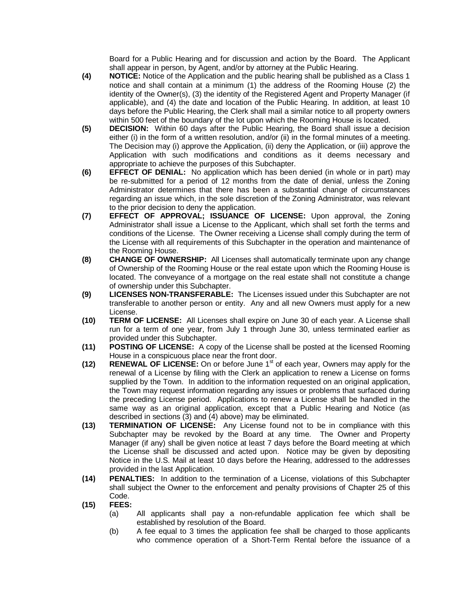Board for a Public Hearing and for discussion and action by the Board. The Applicant shall appear in person, by Agent, and/or by attorney at the Public Hearing.

- **(4) NOTICE:** Notice of the Application and the public hearing shall be published as a Class 1 notice and shall contain at a minimum (1) the address of the Rooming House (2) the identity of the Owner(s), (3) the identity of the Registered Agent and Property Manager (if applicable), and (4) the date and location of the Public Hearing. In addition, at least 10 days before the Public Hearing, the Clerk shall mail a similar notice to all property owners within 500 feet of the boundary of the lot upon which the Rooming House is located.
- **(5) DECISION:** Within 60 days after the Public Hearing, the Board shall issue a decision either (i) in the form of a written resolution, and/or (ii) in the formal minutes of a meeting. The Decision may (i) approve the Application, (ii) deny the Application, or (iii) approve the Application with such modifications and conditions as it deems necessary and appropriate to achieve the purposes of this Subchapter.
- **(6) EFFECT OF DENIAL:** No application which has been denied (in whole or in part) may be re-submitted for a period of 12 months from the date of denial, unless the Zoning Administrator determines that there has been a substantial change of circumstances regarding an issue which, in the sole discretion of the Zoning Administrator, was relevant to the prior decision to deny the application.
- **(7) EFFECT OF APPROVAL; ISSUANCE OF LICENSE:** Upon approval, the Zoning Administrator shall issue a License to the Applicant, which shall set forth the terms and conditions of the License. The Owner receiving a License shall comply during the term of the License with all requirements of this Subchapter in the operation and maintenance of the Rooming House.
- **(8) CHANGE OF OWNERSHIP:** All Licenses shall automatically terminate upon any change of Ownership of the Rooming House or the real estate upon which the Rooming House is located. The conveyance of a mortgage on the real estate shall not constitute a change of ownership under this Subchapter.
- **(9) LICENSES NON-TRANSFERABLE:** The Licenses issued under this Subchapter are not transferable to another person or entity. Any and all new Owners must apply for a new License.
- **(10) TERM OF LICENSE:** All Licenses shall expire on June 30 of each year. A License shall run for a term of one year, from July 1 through June 30, unless terminated earlier as provided under this Subchapter*.*
- **(11) POSTING OF LICENSE:** A copy of the License shall be posted at the licensed Rooming House in a conspicuous place near the front door.
- **(12) RENEWAL OF LICENSE:** On or before June 1<sup>st</sup> of each year, Owners may apply for the renewal of a License by filing with the Clerk an application to renew a License on forms supplied by the Town. In addition to the information requested on an original application, the Town may request information regarding any issues or problems that surfaced during the preceding License period. Applications to renew a License shall be handled in the same way as an original application, except that a Public Hearing and Notice (as described in sections (3) and (4) above) may be eliminated.
- **(13) TERMINATION OF LICENSE:** Any License found not to be in compliance with this Subchapter may be revoked by the Board at any time. The Owner and Property Manager (if any) shall be given notice at least 7 days before the Board meeting at which the License shall be discussed and acted upon. Notice may be given by depositing Notice in the U.S. Mail at least 10 days before the Hearing, addressed to the addresses provided in the last Application.
- **(14) PENALTIES:**In addition to the termination of a License, violations of this Subchapter shall subject the Owner to the enforcement and penalty provisions of Chapter 25 of this Code.
- **(15) FEES:** 
	- (a) All applicants shall pay a non-refundable application fee which shall be established by resolution of the Board.
	- (b) A fee equal to 3 times the application fee shall be charged to those applicants who commence operation of a Short-Term Rental before the issuance of a